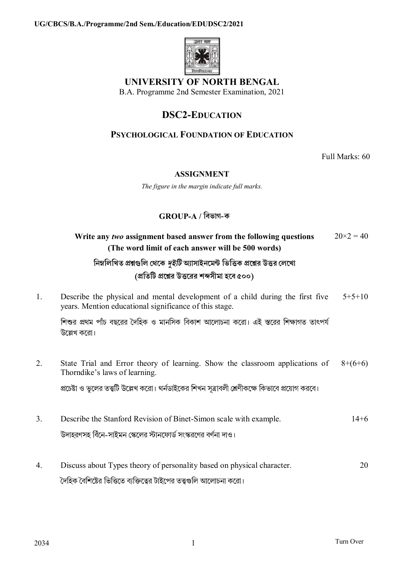

# UNIVERSITY OF NORTH BENGAL

B.A. Programme 2nd Semester Examination, 2021

## **DSC2-EDUCATION**

### **PSYCHOLOGICAL FOUNDATION OF EDUCATION**

Full Marks: 60

#### **ASSIGNMENT**

The figure in the margin indicate full marks.

### $GROUP-A$  / বিভাগ-ক

| Write any two assignment based answer from the following questions<br>(The word limit of each answer will be 500 words)                 | $20 \times 2 = 40$ |
|-----------------------------------------------------------------------------------------------------------------------------------------|--------------------|
| নিম্নলিখিত প্রশ্নগুলি থেকে <i>দুইটি</i> অ্যাসাইনমেন্ট ভিত্তিক প্রশ্নের উত্তর লেখো                                                       |                    |
| (প্রতিটি প্রশ্নের উত্তরের শব্দসীমা হবে ৫০০)                                                                                             |                    |
| Describe the physical and mental development of a child during the first five<br>years. Mention educational significance of this stage. | $5+5+10$           |
| শিশুর প্রথম পাঁচ বছরের দৈহিক ও মানসিক বিকাশ আলোচনা করো। এই স্তরের শিক্ষাগত তাৎপর্য<br>উল্লেখ করো।                                       |                    |
| State Trial and Error theory of learning. Show the classroom applications of<br>Thorndike's laws of learning.                           | $8+(6+6)$          |
| প্রচেষ্টা ও ভুলের তত্ত্বটি উল্লেখ করো। থর্নডাইকের শিখন সূত্রাবলী শ্রেণীকক্ষে কিভাবে প্রয়োগ করবে।                                       |                    |
| Describe the Stanford Revision of Binet-Simon scale with example.<br>উদাহরণসহ বিঁনে-সাইমন স্কেলের স্টানফোর্ড সংস্করণের বর্ণনা দাও।      | $14 + 6$           |
|                                                                                                                                         |                    |

Discuss about Types theory of personality based on physical character.  $\overline{4}$ . 20 দৈহিক বৈশিষ্টের ভিত্তিতে ব্যক্তিত্বের টাইপের তত্ত্বগুলি আলোচনা করো।

 $1<sub>1</sub>$ 

 $\overline{2}$ .

 $3.$